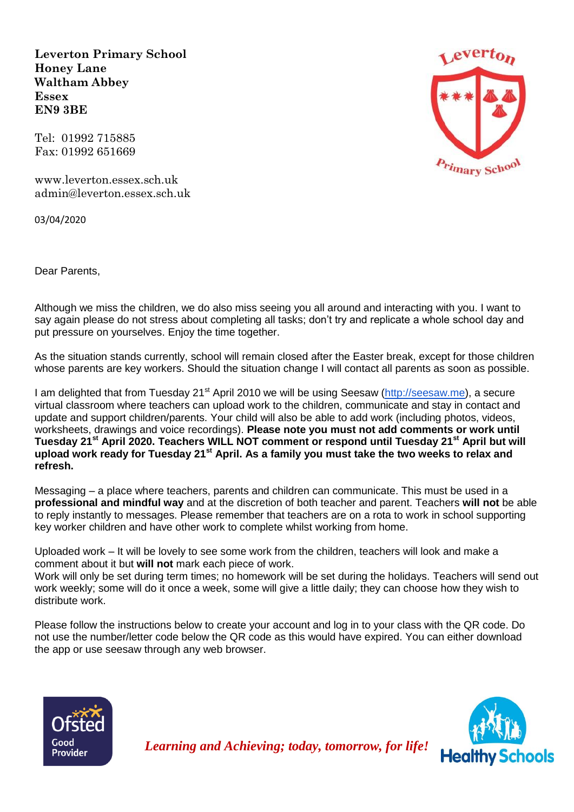**Leverton Primary School Honey Lane Waltham Abbey Essex EN9 3BE**

Tel: 01992 715885 Fax: 01992 651669

[www.leverton.essex.sch.uk](http://www.leverton.essex.sch.uk/) [admin@leverton.essex.sch.uk](mailto:admin@leverton.essex.sch.uk)

03/04/2020

Dear Parents,

Although we miss the children, we do also miss seeing you all around and interacting with you. I want to say again please do not stress about completing all tasks; don't try and replicate a whole school day and put pressure on yourselves. Enjoy the time together.

As the situation stands currently, school will remain closed after the Easter break, except for those children whose parents are key workers. Should the situation change I will contact all parents as soon as possible.

I am delighted that from Tuesday 21<sup>st</sup> April 2010 we will be using Seesaw [\(http://seesaw.me\)](http://seesaw.me/), a secure virtual classroom where teachers can upload work to the children, communicate and stay in contact and update and support children/parents. Your child will also be able to add work (including photos, videos, worksheets, drawings and voice recordings). **Please note you must not add comments or work until Tuesday 21st April 2020. Teachers WILL NOT comment or respond until Tuesday 21st April but will upload work ready for Tuesday 21st April. As a family you must take the two weeks to relax and refresh.** 

Messaging – a place where teachers, parents and children can communicate. This must be used in a **professional and mindful way** and at the discretion of both teacher and parent. Teachers **will not** be able to reply instantly to messages. Please remember that teachers are on a rota to work in school supporting key worker children and have other work to complete whilst working from home.

Uploaded work – It will be lovely to see some work from the children, teachers will look and make a comment about it but **will not** mark each piece of work.

Work will only be set during term times; no homework will be set during the holidays. Teachers will send out work weekly; some will do it once a week, some will give a little daily; they can choose how they wish to distribute work.

Please follow the instructions below to create your account and log in to your class with the QR code. Do not use the number/letter code below the QR code as this would have expired. You can either download the app or use seesaw through any web browser.







*Learning and Achieving; today, tomorrow, for life!*